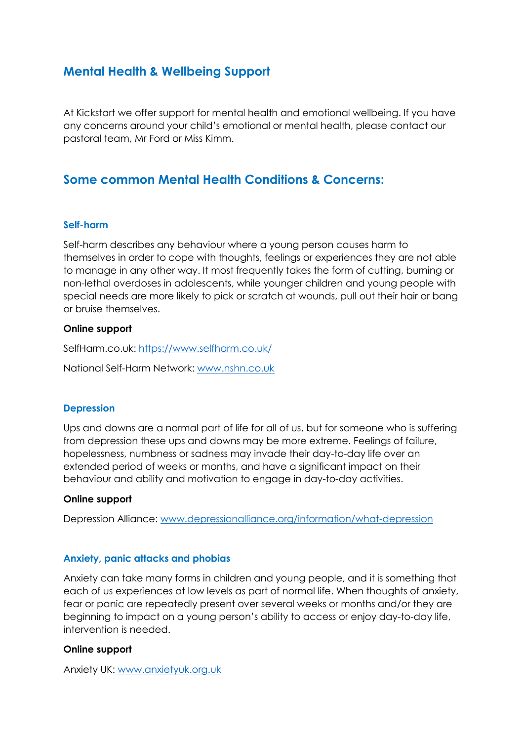# **Mental Health & Wellbeing Support**

At Kickstart we offer support for mental health and emotional wellbeing. If you have any concerns around your child's emotional or mental health, please contact our pastoral team, Mr Ford or Miss Kimm.

## **Some common Mental Health Conditions & Concerns:**

## **Self-harm**

Self-harm describes any behaviour where a young person causes harm to themselves in order to cope with thoughts, feelings or experiences they are not able to manage in any other way. It most frequently takes the form of cutting, burning or non-lethal overdoses in adolescents, while younger children and young people with special needs are more likely to pick or scratch at wounds, pull out their hair or bang or bruise themselves.

## **Online support**

SelfHarm.co.uk:<https://www.selfharm.co.uk/>

National Self-Harm Network: [www.nshn.co.uk](http://www.nshn.co.uk/)

## **Depression**

Ups and downs are a normal part of life for all of us, but for someone who is suffering from depression these ups and downs may be more extreme. Feelings of failure, hopelessness, numbness or sadness may invade their day-to-day life over an extended period of weeks or months, and have a significant impact on their behaviour and ability and motivation to engage in day-to-day activities.

#### **Online support**

Depression Alliance: [www.depressionalliance.org/information/what-depression](http://www.depressionalliance.org/information/what-depression)

## **Anxiety, panic attacks and phobias**

Anxiety can take many forms in children and young people, and it is something that each of us experiences at low levels as part of normal life. When thoughts of anxiety, fear or panic are repeatedly present over several weeks or months and/or they are beginning to impact on a young person's ability to access or enjoy day-to-day life, intervention is needed.

#### **Online support**

Anxiety UK: [www.anxietyuk.org.uk](http://www.anxietyuk.org.uk/)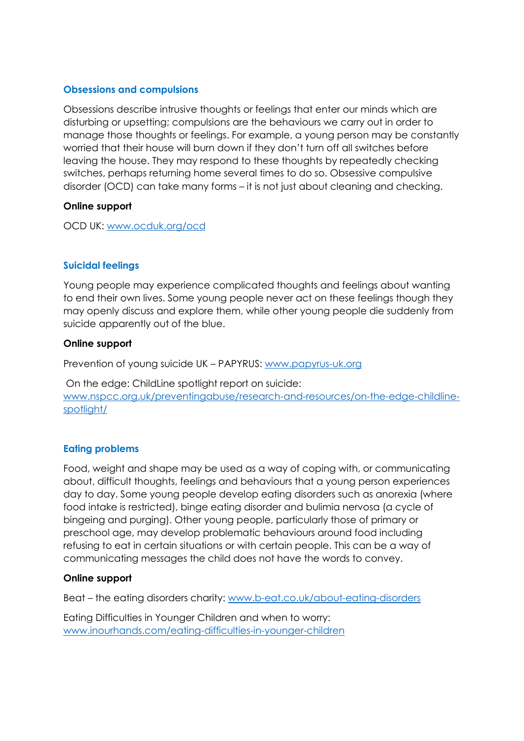## **Obsessions and compulsions**

Obsessions describe intrusive thoughts or feelings that enter our minds which are disturbing or upsetting; compulsions are the behaviours we carry out in order to manage those thoughts or feelings. For example, a young person may be constantly worried that their house will burn down if they don't turn off all switches before leaving the house. They may respond to these thoughts by repeatedly checking switches, perhaps returning home several times to do so. Obsessive compulsive disorder (OCD) can take many forms – it is not just about cleaning and checking.

## **Online support**

OCD UK: [www.ocduk.org/ocd](http://www.ocduk.org/ocd)

## **Suicidal feelings**

Young people may experience complicated thoughts and feelings about wanting to end their own lives. Some young people never act on these feelings though they may openly discuss and explore them, while other young people die suddenly from suicide apparently out of the blue.

## **Online support**

Prevention of young suicide UK – PAPYRUS: [www.papyrus-uk.org](http://www.papyrus-uk.org/)

On the edge: ChildLine spotlight report on suicide: [www.nspcc.org.uk/preventingabuse/research-and-resources/on-the-edge-childline](http://www.nspcc.org.uk/preventingabuse/research-and-resources/on-the-edge-childline-spotlight/)[spotlight/](http://www.nspcc.org.uk/preventingabuse/research-and-resources/on-the-edge-childline-spotlight/)

## **Eating problems**

Food, weight and shape may be used as a way of coping with, or communicating about, difficult thoughts, feelings and behaviours that a young person experiences day to day. Some young people develop eating disorders such as anorexia (where food intake is restricted), binge eating disorder and bulimia nervosa (a cycle of bingeing and purging). Other young people, particularly those of primary or preschool age, may develop problematic behaviours around food including refusing to eat in certain situations or with certain people. This can be a way of communicating messages the child does not have the words to convey.

## **Online support**

Beat – the eating disorders charity: [www.b-eat.co.uk/about-eating-disorders](http://www.b-eat.co.uk/about-eating-disorders)

Eating Difficulties in Younger Children and when to worry: [www.inourhands.com/eating-difficulties-in-younger-children](http://www.inourhands.com/eating-difficulties-in-younger-children)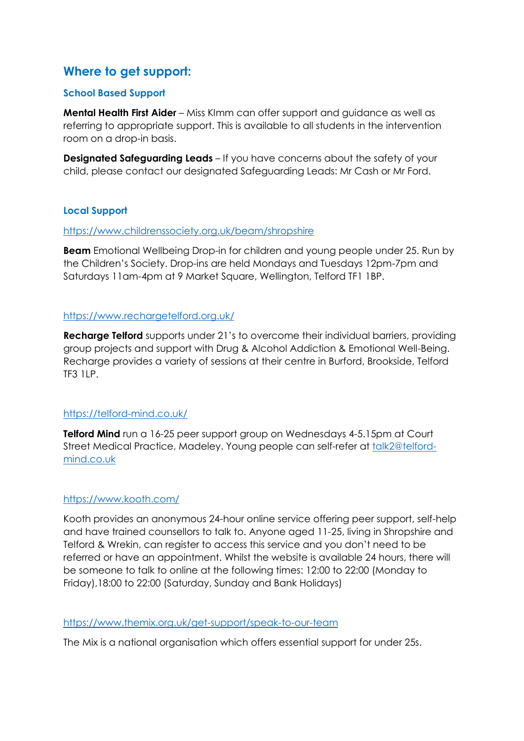# **Where to get support:**

## **School Based Support**

**Mental Health First Aider** – Miss KImm can offer support and guidance as well as referring to appropriate support. This is available to all students in the intervention room on a drop-in basis.

**Designated Safeguarding Leads** – If you have concerns about the safety of your child, please contact our designated Safeguarding Leads: Mr Cash or Mr Ford.

## **Local Support**

#### <https://www.childrenssociety.org.uk/beam/shropshire>

**Beam** Emotional Wellbeing Drop-in for children and young people under 25. Run by the Children's Society. Drop-ins are held Mondays and Tuesdays 12pm-7pm and Saturdays 11am-4pm at 9 Market Square, Wellington, Telford TF1 1BP.

## <https://www.rechargetelford.org.uk/>

**Recharge Telford** supports under 21's to overcome their individual barriers, providing group projects and support with Drug & Alcohol Addiction & Emotional Well-Being. Recharge provides a variety of sessions at their centre in Burford, Brookside, Telford TF3 1LP.

## <https://telford-mind.co.uk/>

**Telford Mind** run a 16-25 peer support group on Wednesdays 4-5.15pm at Court Street Medical Practice, Madeley. Young people can self-refer at [talk2@telford](mailto:talk2@telford-mind.co.uk)[mind.co.uk](mailto:talk2@telford-mind.co.uk)

#### <https://www.kooth.com/>

Kooth provides an anonymous 24-hour online service offering peer support, self-help and have trained counsellors to talk to. Anyone aged 11-25, living in Shropshire and Telford & Wrekin, can register to access this service and you don't need to be referred or have an appointment. Whilst the website is available 24 hours, there will be someone to talk to online at the following times: 12:00 to 22:00 (Monday to Friday),18:00 to 22:00 (Saturday, Sunday and Bank Holidays)

#### <https://www.themix.org.uk/get-support/speak-to-our-team>

The Mix is a national organisation which offers essential support for under 25s.